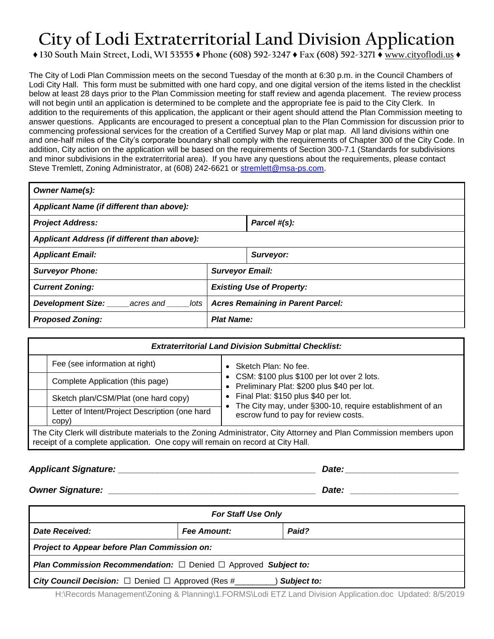## **City of Lodi Extraterritorial Land Division Application**

## **♦ 130 South Main Street, Lodi, WI 53555 ♦ Phone (608) 592-3247 ♦ Fax (608) 592-3271 ♦** www.cityoflodi.us **♦**

The City of Lodi Plan Commission meets on the second Tuesday of the month at 6:30 p.m. in the Council Chambers of Lodi City Hall. This form must be submitted with one hard copy, and one digital version of the items listed in the checklist below at least 28 days prior to the Plan Commission meeting for staff review and agenda placement. The review process will not begin until an application is determined to be complete and the appropriate fee is paid to the City Clerk. In addition to the requirements of this application, the applicant or their agent should attend the Plan Commission meeting to answer questions. Applicants are encouraged to present a conceptual plan to the Plan Commission for discussion prior to commencing professional services for the creation of a Certified Survey Map or plat map. All land divisions within one and one-half miles of the City's corporate boundary shall comply with the requirements of Chapter 300 of the City Code. In addition, City action on the application will be based on the requirements of Section 300-7.1 (Standards for subdivisions and minor subdivisions in the extraterritorial area). If you have any questions about the requirements, please contact Steve Tremlett, Zoning Administrator, at (608) 242-6621 or [stremlett@msa-ps.com.](mailto:stremlett@msa-ps.com)

| <b>Owner Name(s):</b>                        |                                          |              |  |  |  |  |
|----------------------------------------------|------------------------------------------|--------------|--|--|--|--|
| Applicant Name (if different than above):    |                                          |              |  |  |  |  |
| <b>Project Address:</b>                      |                                          | Parcel #(s): |  |  |  |  |
| Applicant Address (if different than above): |                                          |              |  |  |  |  |
| <b>Applicant Email:</b>                      |                                          | Surveyor:    |  |  |  |  |
| <b>Surveyor Phone:</b>                       | <b>Surveyor Email:</b>                   |              |  |  |  |  |
| <b>Current Zoning:</b>                       | <b>Existing Use of Property:</b>         |              |  |  |  |  |
| Development Size:<br>lots<br>acres and       | <b>Acres Remaining in Parent Parcel:</b> |              |  |  |  |  |
| <b>Proposed Zoning:</b>                      | <b>Plat Name:</b>                        |              |  |  |  |  |

| <b>Extraterritorial Land Division Submittal Checklist:</b>                                                                                                                                              |                                                         |  |                                                                                                  |  |  |  |
|---------------------------------------------------------------------------------------------------------------------------------------------------------------------------------------------------------|---------------------------------------------------------|--|--------------------------------------------------------------------------------------------------|--|--|--|
|                                                                                                                                                                                                         | Fee (see information at right)                          |  | • Sketch Plan: No fee.                                                                           |  |  |  |
|                                                                                                                                                                                                         | Complete Application (this page)                        |  | • CSM: \$100 plus \$100 per lot over 2 lots.<br>• Preliminary Plat: \$200 plus \$40 per lot.     |  |  |  |
|                                                                                                                                                                                                         | Sketch plan/CSM/Plat (one hard copy)                    |  | • Final Plat: \$150 plus \$40 per lot.                                                           |  |  |  |
|                                                                                                                                                                                                         | Letter of Intent/Project Description (one hard<br>copy) |  | The City may, under §300-10, require establishment of an<br>escrow fund to pay for review costs. |  |  |  |
| The City Clerk will distribute materials to the Zoning Administrator, City Attorney and Plan Commission members upon<br>receipt of a complete application. One copy will remain on record at City Hall. |                                                         |  |                                                                                                  |  |  |  |

## *Applicant Signature: \_\_\_\_\_\_\_\_\_\_\_\_\_\_\_\_\_\_\_\_\_\_\_\_\_\_\_\_\_\_\_\_\_\_\_\_\_\_\_\_ Date: \_\_\_\_\_\_\_\_\_\_\_\_\_\_\_\_\_\_\_\_\_\_\_*

*Owner Signature: \_\_\_\_\_\_\_\_\_\_\_\_\_\_\_\_\_\_\_\_\_\_\_\_\_\_\_\_\_\_\_\_\_\_\_\_\_\_\_\_\_\_ Date: \_\_\_\_\_\_\_\_\_\_\_\_\_\_\_\_\_\_\_\_\_\_*

| <b>For Staff Use Only</b>                                                               |                    |       |  |  |  |  |
|-----------------------------------------------------------------------------------------|--------------------|-------|--|--|--|--|
| Date Received:                                                                          | <b>Fee Amount:</b> | Paid? |  |  |  |  |
| Project to Appear before Plan Commission on:                                            |                    |       |  |  |  |  |
| <b>Plan Commission Recommendation:</b> $\Box$ Denied $\Box$ Approved <b>Subject to:</b> |                    |       |  |  |  |  |
| <b>City Council Decision:</b> $\Box$ Denied $\Box$ Approved (Res #<br>Subject to:       |                    |       |  |  |  |  |

H:\Records Management\Zoning & Planning\1.FORMS\Lodi ETZ Land Division Application.doc Updated: 8/5/2019